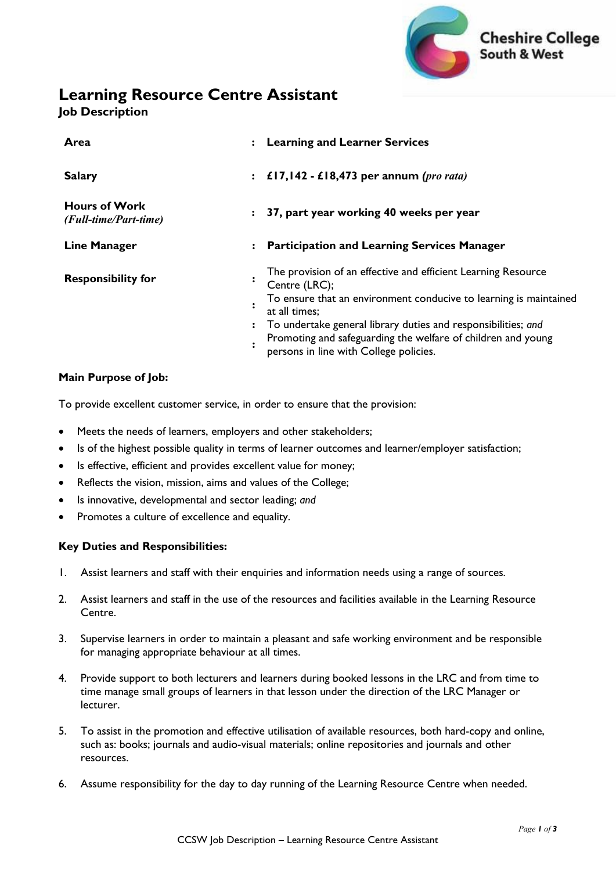

# **Learning Resource Centre Assistant**

**Job Description**

| Area                                          | $\ddot{\cdot}$ | <b>Learning and Learner Services</b>                                                                                                                                                                                                                                                                                                            |
|-----------------------------------------------|----------------|-------------------------------------------------------------------------------------------------------------------------------------------------------------------------------------------------------------------------------------------------------------------------------------------------------------------------------------------------|
| <b>Salary</b>                                 |                | : $£17,142 - £18,473$ per annum (pro rata)                                                                                                                                                                                                                                                                                                      |
| <b>Hours of Work</b><br>(Full-time/Part-time) | $\ddot{\cdot}$ | 37, part year working 40 weeks per year                                                                                                                                                                                                                                                                                                         |
| <b>Line Manager</b>                           | $\ddot{\cdot}$ | <b>Participation and Learning Services Manager</b>                                                                                                                                                                                                                                                                                              |
| <b>Responsibility for</b>                     | $\ddot{\cdot}$ | The provision of an effective and efficient Learning Resource<br>Centre (LRC);<br>To ensure that an environment conducive to learning is maintained<br>at all times;<br>To undertake general library duties and responsibilities; and<br>Promoting and safeguarding the welfare of children and young<br>persons in line with College policies. |

### **Main Purpose of Job:**

To provide excellent customer service, in order to ensure that the provision:

- Meets the needs of learners, employers and other stakeholders;
- Is of the highest possible quality in terms of learner outcomes and learner/employer satisfaction;
- Is effective, efficient and provides excellent value for money;
- Reflects the vision, mission, aims and values of the College;
- Is innovative, developmental and sector leading; *and*
- Promotes a culture of excellence and equality.

#### **Key Duties and Responsibilities:**

- 1. Assist learners and staff with their enquiries and information needs using a range of sources.
- 2. Assist learners and staff in the use of the resources and facilities available in the Learning Resource Centre.
- 3. Supervise learners in order to maintain a pleasant and safe working environment and be responsible for managing appropriate behaviour at all times.
- 4. Provide support to both lecturers and learners during booked lessons in the LRC and from time to time manage small groups of learners in that lesson under the direction of the LRC Manager or lecturer.
- 5. To assist in the promotion and effective utilisation of available resources, both hard-copy and online, such as: books; journals and audio-visual materials; online repositories and journals and other resources.
- 6. Assume responsibility for the day to day running of the Learning Resource Centre when needed.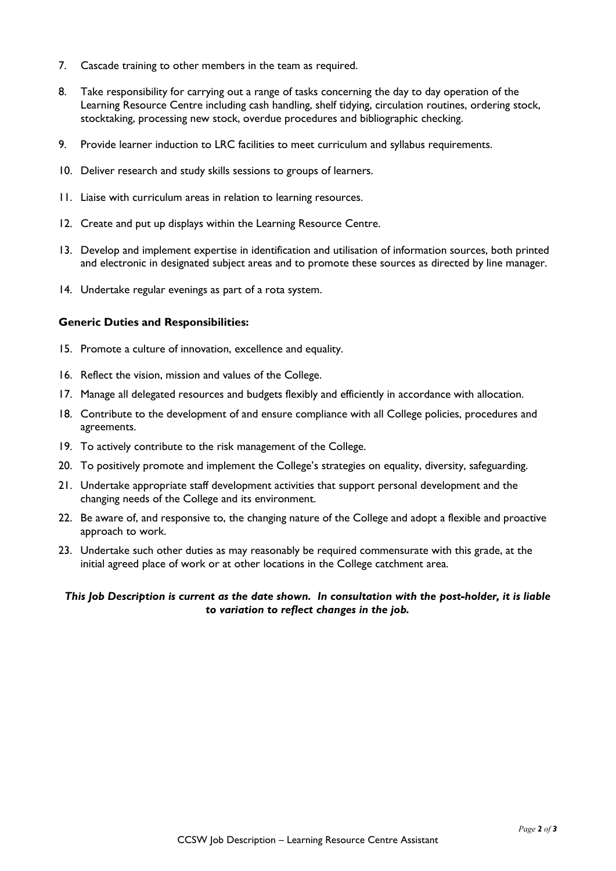- 7. Cascade training to other members in the team as required.
- 8. Take responsibility for carrying out a range of tasks concerning the day to day operation of the Learning Resource Centre including cash handling, shelf tidying, circulation routines, ordering stock, stocktaking, processing new stock, overdue procedures and bibliographic checking.
- 9. Provide learner induction to LRC facilities to meet curriculum and syllabus requirements.
- 10. Deliver research and study skills sessions to groups of learners.
- 11. Liaise with curriculum areas in relation to learning resources.
- 12. Create and put up displays within the Learning Resource Centre.
- 13. Develop and implement expertise in identification and utilisation of information sources, both printed and electronic in designated subject areas and to promote these sources as directed by line manager.
- 14. Undertake regular evenings as part of a rota system.

#### **Generic Duties and Responsibilities:**

- 15. Promote a culture of innovation, excellence and equality.
- 16. Reflect the vision, mission and values of the College.
- 17. Manage all delegated resources and budgets flexibly and efficiently in accordance with allocation.
- 18. Contribute to the development of and ensure compliance with all College policies, procedures and agreements.
- 19. To actively contribute to the risk management of the College.
- 20. To positively promote and implement the College's strategies on equality, diversity, safeguarding.
- 21. Undertake appropriate staff development activities that support personal development and the changing needs of the College and its environment.
- 22. Be aware of, and responsive to, the changing nature of the College and adopt a flexible and proactive approach to work.
- 23. Undertake such other duties as may reasonably be required commensurate with this grade, at the initial agreed place of work or at other locations in the College catchment area.

#### *This Job Description is current as the date shown. In consultation with the post-holder, it is liable to variation to reflect changes in the job.*